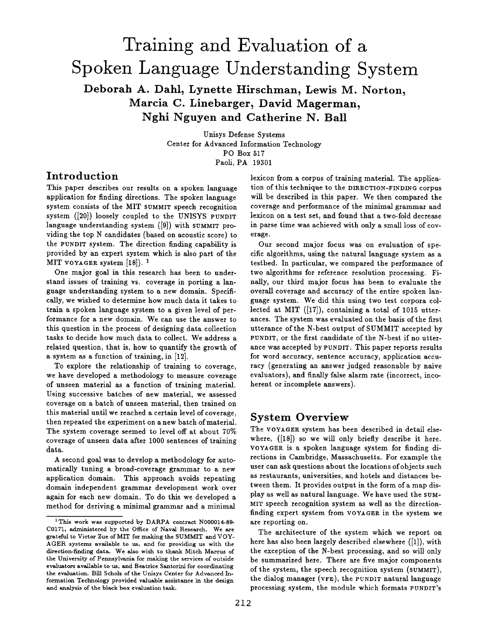# **Training and Evaluation of a Spoken Language Understanding System Deborah A.. Dahl, Lynette Hirschman, Lewis M. Norton, Marcia C. Linebarger, David Magerman,**

**Nghi Nguyen and Catherine N. Ball** 

Unisys Defense Systems Center for Advanced Information Technology PO Box 517 Paoli, PA 19301

# **Introduction**

This paper describes our results on a spoken language application for finding directions. The spoken language system consists of the MIT SUMMIT speech recognition system ([20]) loosely coupled to the UNISYS PUNDIT language understanding system ([9]) with SUMMIT providing the top N candidates (based on acoustic score) to the PUNDIT system. The direction finding capability is provided by an expert system which is also part of the MIT VOYAGER system  $[18]$ . <sup>1</sup>

One major goal in this research has been to understand issues of training vs. coverage in porting a language understanding system to a new domain. Specifically, we wished to determine how much data it takes to train a spoken language system to a given level of performance for a new domain. We can use the answer to this question in the process of designing data collection tasks to decide how much data to collect. We address a related question, that is, how to quantify the growth of a system as a function of training, in [12].

To explore the relationship of training to coverage, we have developed a methodology to measure coverage of unseen material as a function of training material. Using successive batches of new material, we assessed coverage on a batch of unseen material, then trained on this material until we reached a certain level of coverage, then repeated the experiment on a new batch of material. The system coverage seemed to level off at about 70% coverage of unseen data after 1000 sentences of training data.

A second goal was to develop a methodology for automatically tuning a broad-coverage grammar to a new application domain. This approach avoids repeating domain independent grammar development work over again for each new domain. To do this we developed a method for deriving a minimal grammar and a minimal

lexicon from a corpus of training material. The application of this technique to the DIRECTION-FINDING corpus will be described in this paper. We then compared the coverage and performance of the minimal grammar and lexicon on a test set, and found that a two-fold decrease in parse time was achieved with only a small loss of coverage.

Our second major focus was on evaluation of specific algorithms, using the natural language system as a testbed. In particular, we compared the performance of two algorithms for reference resolution processing. Finally, our third major focus has been to evaluate the overall coverage and accuracy of the entire spoken language system. We did this using two test corpora collected at MIT ([17]), containing a total of 1015 utterances. The system was evaluated on the basis of the first utterance of the N-best output of SUMMIT accepted by PUNDIT, or the first candidate of the N-best if no utterance was accepted by PUNDIT. This paper reports results for word accuracy, sentence accuracy, application accuracy (generating an answer judged reasonable by naive evaluators), and finally false alarm rate (incorrect, incoherent or incomplete answers).

# **System Overview**

The VOYAGER system has been described in detail elsewhere, ([18]) so we will only briefly describe it here. VOYAQER is a spoken language system for finding directions in Cambridge, Massachusetts. For example the user can ask questions about the locations of objects such as restaurants, universities, and hotels and distances between them. It provides output in the form of a map display as well as natural language. We have used the SUM-MIT speech recognition system as well as the directionfinding expert system from VOYACER in the system we are reporting on.

The architecture of the system which we report on here has also been largely described elsewhere ([1]), with the exception of the N-best processing, and so will only be summarized here. There are five major components of the system, the speech recognition system (SUMMIT), the dialog manager (VFE), the PUNDIT natural language processing system, the module which formats PUNDIT's

<sup>&</sup>lt;sup>1</sup>This work was supported by DARPA contract N000014-89-C0171, administered by the Office of Naval Research. We are grateful to Victor Zue of MIT for making the SUMMIT and VOY-AGER systems available to us, and for providing us with the direction-finding data. We also wish to thank Mitch Marcus of the University of Pennsylvania for making the services of outside evaluators available to us, and Beatrice Santorini for coordinating the evaluation. Bill Scholz of the Unisys Center for Advanced Information Technology provided valuable assistance in the design and analysis of the black box evaluation task.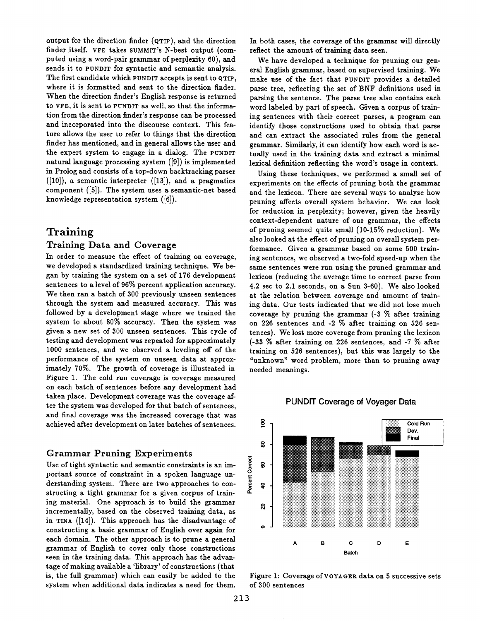output for the direction finder (QTIP), and the direction finder itself. VFE takes SUMMIT'S N-best output (computed using a word-pair grammar of perplexity 60), and sends it to PUNDIT for syntactic and semantic analysis. The first candidate which PUNDIT accepts is sent to qTIP, where it is formatted and sent to the direction finder. When the direction finder's English response is returned to VFE, it is sent to PUNDIT as well, so that the information from the direction finder's response can be processed and incorporated into the discourse context. This feature allows the user to refer to things that the direction finder has mentioned, and in general allows the user and the expert system to engage in a dialog. The PUNDIT natural language processing system ([9]) is implemented in Prolog and consists of a top-down backtracking parser  $([10])$ , a semantic interpreter  $([13])$ , and a pragmatics component ([5]). The system uses a semantic-net based knowledge representation system ([6]).

# **Training**

#### **Training Data and Coverage**

In order to measure the effect of training on coverage, we developed a standardized training technique. We began by training the system on a set of 176 development sentences to a level of 96% percent application accuracy. We then ran a batch of 300 previously unseen sentences through the system and measured accuracy. This was followed by a development stage where we trained the system to about 80% accuracy. Then the system was given a new set of 300 unseen sentences. This cycle of testing and development was repeated for approximately 1000 sentences, and we observed a leveling off of the performance of the system on unseen data at approximately 70%. The growth of coverage is illustrated in Figure 1. The cold run coverage is coverage measured on each batch of sentences before any development had taken place. Development coverage was the coverage after the system was developed for that batch of sentences, and final coverage was the increased coverage that was achieved after development on later batches of sentences.

#### Grammar Pruning Experiments

Use of tight syntactic and semantic constraints is an important source of constraint in a spoken language understanding system. There are two approaches to constructing a tight grammar for a given corpus of training material. One approach is to build the grammar incrementally, based on the observed training data, as in TINA ([14]). This approach has the disadvantage of constructing a basic grammar of English over again for each domain. The other approach is to prune a general grammar of English to cover only those constructions seen in the training data. This approach has the advantage of making available a 'library' of constructions (that is, the full grammar) which can easily be added to the system when additional data indicates a need for them.

In both cases, the coverage of the grammar will directly reflect the amount of training data seen.

We have developed a technique for pruning our general English grammar, based on supervised training. We make use of the fact that PUNDIT provides a detailed parse tree, reflecting the set of BNF definitions used in parsing the sentence. The parse tree also contains each word labeled by part of speech. Given a corpus of training sentences with their correct parses, a program can identify those constructions used to obtain that parse and can extract the associated rules from the general grammar. Similarly, it can identify how each word is actually used in the training data and extract a minimal lexical definition reflecting the word's usage in context.

Using these techniques, we performed a small set of experiments on the effects of pruning both the grammar and the lexicon. There are several ways to analyze how pruning affects overall system behavior. We can look for reduction in perplexity; however, given the heavily context-dependent nature of our grammar, the effects of pruning seemed quite small (10-15% reduction). We also looked at the effect of pruning on overall system performance. Given a grammar based on some 500 training sentences, we observed a two-fold speed-up when the same sentences were run using the pruned grammar and lexicon (reducing the average time to correct parse from 4.2 sec to 2.1 seconds, on a Sun 3-60). We also looked at the relation between coverage and amount of training data. Our tests indicated that we did not lose much coverage by pruning the grammar  $(-3, %)$  after training on 226 sentences and -2 % after training on 526 sentences). We lost more coverage from pruning the lexicon (-33 % after training on 226 sentences, and -7 % after training on 526 sentences), but this was largely to the "unknown" word problem, more than to pruning away needed meanings.



#### PUNDIT Coverage of Voyager Data

Figure 1: Coverage of VOYAGER data on 5 successive sets of 300 sentences

A B C D E **B~tch** 

Percent Correct

ສ

 $\bullet$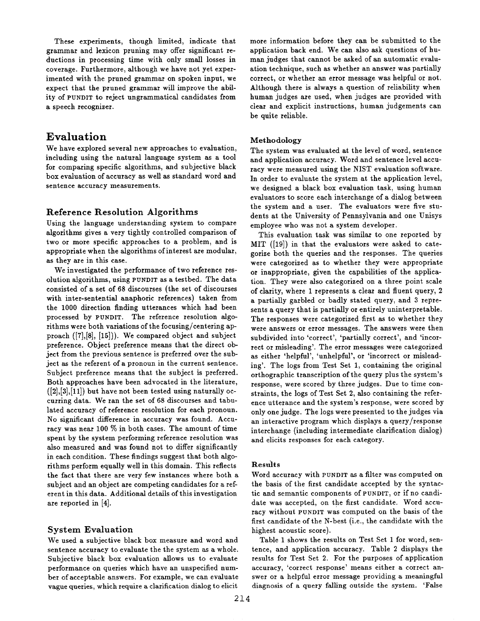These experiments, though limited, indicate that grammar and lexicon pruning may offer significant reductions in processing time with only small losses in coverage. Furthermore, although we have not yet experimented with the pruned grammar on spoken input, we expect that the pruned grammar will improve the ability of PUNDIT to reject ungrammatical candidates from a speech recognizer.

## **Evaluation**

We have explored several new approaches to evaluation, including using the natural language system as a tool for comparing specific algorithms, and subjective black box evaluation of accuracy as well as standard word and sentence accuracy measurements.

### **Reference Resolution** Algorithms

Using the language understanding system to compare algorithms gives a very tightly controlled comparison of two or more specific approaches to a problem, and is appropriate when the algorithms of interest are modular, as they are in this case.

We investigated the performance of two reference resolution algorithms, using PUNDIT as a testbed. The data consisted of a set of 68 discourses (the set of discourses with inter-sentential anaphoric references) taken from the 1000 direction finding utterances which had been processed by PUNDIT. The reference resolution algorithms were both variations of the focusing/centering approach ([7],[8], [15])). We compared object and subject preference. Object preference means that the direct object from the previous sentence is preferred over the subject as the referent of a pronoun in the current sentence. Subject preference means that the subject is preferred. Both approaches have been advocated in the literature,  $([2],[3],[11])$  but have not been tested using naturally occurring data. We ran the set of 68 discourses and tabulated accuracy of reference resolution for each pronoun. No significant difference in accuracy was found. Accuracy was near 100 % in both cases. The amount of time spent by the system performing reference resolution was also measured and was found not to differ significantly in each condition. These findings suggest that both algorithms perform equally well in this domain. This reflects the fact that there are very few instances where both a subject and an object are competing candidates for a referent in this data. Additional details of this investigation are reported in [4].

#### System **Evaluation**

We used a subjective black box measure and word and sentence accuracy to evaluate the the system as a whole. Subjective black box evaluation allows us to evaluate performance on queries which have an unspecified number of acceptable answers. For example, we can evaluate vague queries, which require a clarification dialog to elicit more information before they can be submitted to the application back end. We can also ask questions of human judges that cannot be asked of an automatic evaluation technique, such as whether an answer was partially correct, or whether an error message was helpful or not. Although there is always a question of reliability when human judges are used, when judges are provided with clear and explicit instructions, human judgements can be quite reliable.

#### **Methodology**

The system was evaluated at the level of word, sentence and application accuracy. Word and sentence level accuracy were measured using the NIST evaluation software. In order to evaluate the system at the application level, we designed a black box evaluation task, using human evaluators to score each interchange of a dialog between the system and a user. The evaluators were five students at the University of Pennsylvania and one Unisys employee who was not a system developer.

This evaluation task was similar to one reported by MIT ([19]) in that the evaluators were asked to categorize both the queries and the responses. The queries were categorized as to whether they were appropriate or inappropriate, given the capabilities of the application. They were also categorized on a three point scale of clarity, where 1 represents a clear and fluent query, 2 a partially garbled or badly stated query, and 3 represents a query that is partially or entirely uninterpretable. The responses were categorized first as to whether they were answers or error messages. The answers were then subdivided into 'correct', 'partially correct', and 'incorrect or misleading'. The error messages were categorized as either 'helpful', 'unhelpful', or 'incorrect or misleading'. The logs from Test Set 1, containing the original orthographic transcription of the query plus the system's response, were scored by three judges. Due to time constraints, the logs of Test Set 2, also containing the reference utterance and the system's response, were scored by only one judge. The logs were presented to the judges via an interactive program which displays a query/response interchange (including intermediate clarification dialog) and elicits responses for each category.

#### **Restdts**

Word accuracy with PUNDIT as a filter was computed on the basis of the first candidate accepted by the syntactic and semantic components of PUNDIT, or if no candidate was accepted, on the first candidate. Word accuracy without PUNDIT was computed on the basis of the first candidate of the N-best (i.e., the candidate with the highest acoustic score).

Table 1 shows the results on Test Set 1 for word, sentence, and application accuracy. Table 2 displays the results for Test Set 2. For the purposes of application accuracy, 'correct response' means either a correct answer or a helpful error message providing a meaningful diagnosis of a query falling outside the system. 'False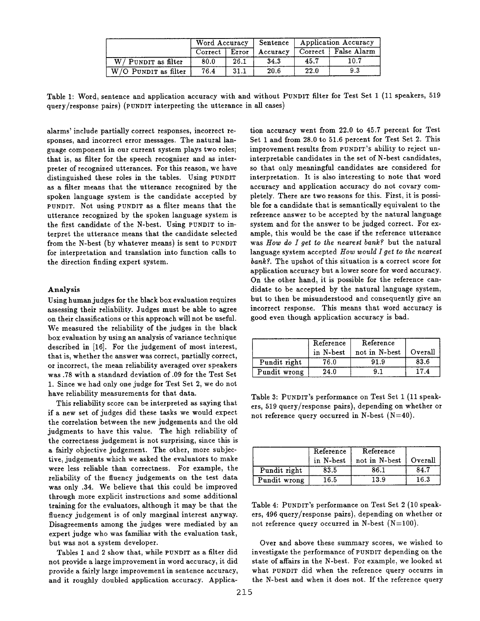|                        | Word Accuracy |       | Sentence | Application Accuracy |                       |
|------------------------|---------------|-------|----------|----------------------|-----------------------|
|                        | Correct       | Error | Accuracy |                      | Correct   False Alarm |
| $W/$ PUNDIT as filter  | 80.0          | 26.1  | 34.3     | 45.7                 | $10.7\,$              |
| $W/O$ PUNDIT as filter | 76.4          | 31.1  | 20.6     | 22.0                 | 93                    |

Table 1: Word, sentence and application accuracy with and without PUNDIT filter for Test Set 1 (11 speakers, 519 query/response pairs) (PUNDIT interpreting the utterance in all cases)

alarms' include partially correct responses, incorrect responses, and incorrect error messages. The natural language component in our current system plays two roles; that is, as filter for the speech recognizer and as interpreter of recognized utterances. For this reason, we have distinguished these roles in the tables. Using PUNDIT as a filter means that the utterance recognized by the spoken language system is the candidate accepted by PUNDIT. Not using PUNDIT as a filter means that the utterance recognized by the spoken language system is the first candidate of the N-best. Using PUNDIT to interpret the utterance means that the candidate selected from the N-best (by whatever means) is sent to PUNDIT for interpretation and translation into function calls to the direction finding expert system.

#### Analysis

Using human judges for the black box evaluation requires assessing their reliability. Judges must be able to agree on their classifications or this approach will not be useful. We measured the reliability of the judges in the black box evaluation by using an analysis of variance technique described in [16]. For the judgement of most interest, that is, whether the answer was correct, partially correct, or incorrect, the mean reliability averaged over speakers was .78 with a standard deviation of .09 for the Test Set 1. Since we had only one judge for Test Set 2, we do not have reliability measurements for that data.

This reliability score can be interpreted as saying that if a new set of judges did these tasks we would expect the correlation between the new judgements and the old judgments to have this value. The high reliability of the correctness judgement is not surprising, since this is a fairly objective judgement. The other, more subjective, judgements which we asked the evaluators to make were less reliable than correctness. For example, the reliability of the fluency judgements on the test data was only .34. We believe that this could be improved through more explicit instructions and some additional training for the evaluators, although it may be that the fluency judgement is of only marginal interest anyway. Disagreements among the judges were mediated by an expert judge who was familiar with the evaluation task, but was not a system developer.

Tables 1 and 2 show that, while PUNDIT as a filter did not provide a large improvement in word accuracy, it did provide a fairly large improvement in sentence accuracy, and it roughly doubled application accuracy. Application accuracy went from 22.0 to 45.7 percent for Test Set 1 and from 28.0 to 51.6 percent for Test Set 2. This improvement results from PUNDIT'S ability to reject uninterpretable candidates in the set of N-best candidates, so that only meaningful candidates are considered for interpretation. It is also interesting to note that word accuracy and application accuracy do not covary completely. There are two reasons for this. First, it is possible for a candidate that is semantically equivalent to the reference answer to be accepted by the natural language system and for the answer to be judged correct. For example, this would be the case if the reference utterance was *How do I get to the nearest bank?* but the natural language system accepted *How would I get to the nearest bank?.* The upshot of this situation is a correct score for application accuracy but a lower score for word accuracy. On the other hand, it is possible for the reference candidate to be accepted by the natural language system, but to then be misunderstood and consequently give an incorrect response. This means that word accuracy is good even though application accuracy is bad.

|              | Reference<br>in N-best | Reference<br>not in N-best | Overall |
|--------------|------------------------|----------------------------|---------|
| Pundit right | 76.0                   | 91.9                       | 83.6    |
| Pundit wrong | 24.0                   | ۰. و                       | 17.4    |

Table 3: PUNDIT's performance on Test Set 1 (11 speakers, 519 query/response pairs), depending on whether or not reference query occurred in N-best  $(N=40)$ .

|              | Reference<br>in N-best | Reference<br>not in N-best | Overall |
|--------------|------------------------|----------------------------|---------|
| Pundit right | 83.5                   | 86.1                       | 84.7    |
| Pundit wrong | 16.5                   | 13.9                       | 16.3    |

Table 4: PUNDIT's performance on Test Set 2 (10 speakers, 496 query/response pairs), depending on whether or not reference query occurred in N-best  $(N=100)$ .

Over and above these summary scores, we wished to investigate the performance of PUNDIT depending on the state of affairs in the N-best. For example, we looked at what PUNDIT did when the reference query occurrs in the N-best and when it does not. If the reference query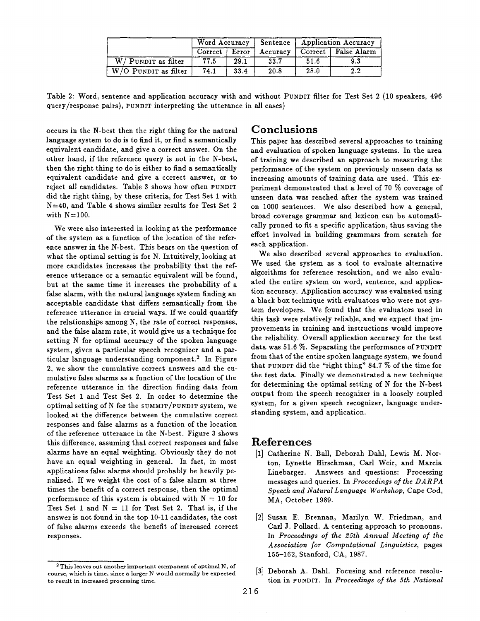|                                   | Word Accuracy |       |          | Sentence   Application Accuracy |                       |
|-----------------------------------|---------------|-------|----------|---------------------------------|-----------------------|
|                                   | Correct       | Error | Accuracy |                                 | Correct   False Alarm |
| $W/$ PUNDIT as filter             | 77.5          | 29.1  | 33.7     | 51.6                            | 9.3                   |
| $\overline{W/O}$ PUNDIT as filter | 74.1          | 33.4  | 20.8     | 28.0                            | $2.2\,$               |

Table 2: Word, sentence and application accuracy with and without PUNDIT filter for Test Set 2 (10 speakers, 496 query/response pairs), PUNDIT interpreting the utterance in all cases)

occurs in the N-best then the right thing for the natural language system to do is to find it, or find a semantically equivalent candidate, and give a correct answer. On the other hand, if the reference query is not in the N-best, then the right thing to do is either to find a semantically equivalent candidate and give a correct answer, or to reject all candidates. Table 3 shows how often PUNDIT did the right thing, by these criteria, for Test Set 1 with N=40, and Table 4 shows similar results for Test Set 2 with  $N=100$ .

We were also interested in looking at the performance of the system as a function of the location of the reference answer in the N-best. This bears on the question of what the optimal setting is for N. Intuitively, looking at more candidates increases the probability that the reference utterance or a semantic equivalent will be found, but at the same time it increases the probability of a false alarm, with the natural language system finding an acceptable candidate that differs semantically from the reference utterance in crucial ways. If we could quantify the relationships among N, the rate of correct responses, and the false alarm rate, it would give us a technique for setting N for optimal accuracy of the spoken language system, given a particular speech recognizer and a particular language understanding component.<sup>2</sup> In Figure 2, we show the cumulative correct answers and the cumulative false alarms as a function of the location of the reference utterance in the direction finding data from Test Set 1 and Test Set 2. In order to determine the optimal setting of N for the SUMMIT/PUNDIT system, we looked at the difference between the cumulative correct responses and false alarms as a function of the location of the reference utterance in the N-best. Figure 3 shows this difference, assuming that correct responses and false alarms have an equal weighting. Obviously they do not have an equal weighting in general. In fact, in most applications false alarms should probably be heavily penalized. If we weight the cost of a false alarm at three times the benefit of a correct response, then the optimal performance of this system is obtained with  $N = 10$  for Test Set 1 and  $N = 11$  for Test Set 2. That is, if the answer is not found in the top 10-11 candidates, the cost of false alarms exceeds the benefit of increased correct responses.

## **Conclusions**

This paper has described several approaches to training and evaluation of spoken language systems. In the area of training we described an approach to measuring the performance of the system on previously unseen data as increasing amounts of training data are used. This experiment demonstrated that a level of 70 % coverage of unseen data was reached after the system was trained on 1000 sentences. We also described how a general, broad coverage grammar and lexicon can be automatically pruned to fit a specific application, thus saving the effort involved in building grammars from scratch for each application.

We also described several approaches to evaluation. We used the system as a tool to evaluate alternative algorithms for reference resolution, and we also evaluated the entire system on word, sentence, and application accuracy. Application accuracy was evaluated using a black box technique with evaluators who were not system developers. We found that the evaluators used in this task were relatively reliable, and we expect that improvements in training and instructions would improve the reliability. Overall application accuracy for the test data was 51.6 %. Separating the performance of PUNDIT from that of the entire spoken language system, we found that PUNDIT did the "right thing" 84.7 % of the time for the test data. Finally we demonstrated a new technique for determining the optimal setting of N for the N-best output from the speech recognizer in a loosely coupled system, for a given speech recognizer, language understanding system, and application.

## **References**

- [1] Catherine N. Ball, Deborah Dahl, Lewis M. Norton, Lynette Hirschman, Carl Weir, and Marcia Linebarger. Answers and questions: Processing messages and queries. In *Proceedings of the DARPA Speech and Natural Language Workshop,* Cape Cod, MA, October 1989.
- **[2]**  Susan E. Brennan, Marilyn W. Friedman, and Carl J. Pollard. A centering approach to pronouns. In *Proceedings of the 25th Annual Meeting of the Association for Computational Linguistics,* pages 155-162, Stanford, CA, 1987.
- [3] Deborah A. Dahl. Focusing and reference resolution in PUNDIT. In *Proceedings of the 5th National*

 $2$  This leaves out another important component of optimal N, of course, which is time, since a larger N would normally be expected to result in increased processing time.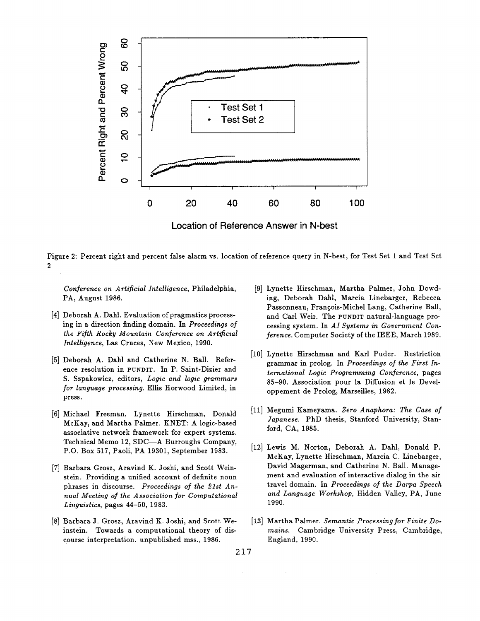

**Location of Reference Answer in N-best** 

Figure 2: Percent right and percent false alarm vs. location of reference query in N-best, for Test Set 1 and Test Set 2

*Conference on Artificial Intelligence, Philadelphia,* PA, August 1986.

- [4] Deborah A. Dahl. Evaluation of pragmatics processing in a direction finding domain. In *Proceedings of the FiSh Rocky Mountain Conference on Artificial Intelligence,* Las Cruces, New Mexico, 1990.
- [5] Deborah A. Dahl and Catherine N. Ball. Reference resolution in PUNDIT. In P. Saint-Dizier and S. Szpakowicz, editors, *Logic and logic grammars*  for language processing. Ellis Horwood Limited, in press.
- [6] Michael Freeman, Lynette Hirschman, Donald McKay, and Martha Palmer. KNET: A logic-based associative network framework for expert systems. Technical Memo 12, SDC-A Burroughs Company, P.O. Box 517, Paoli, PA 19301, September 1983.
- [7] Barbara Grosz, Aravind K. Joshi, and Scott Weinstein. Providing a unified account of definite noun phrases in discourse. Proceedings of the 21st An*nual Meeting of the Association for Computational Linguistics,* pages 44-50, 1983.
- [8] Barbara J. Grosz, Aravind K. Joshi, and Scott Weinstein. Towards a computational theory of discourse interpretation. unpublished mss., 1986.
- Lynette Hirschman, Martha Palmer, John Dowding, Deborah Dahl, Marcia Linebarger, Rebecca Passonneau, François-Michel Lang, Catherine Ball, and Carl Weir. The PUNDIT natural-language processing system. In *AI Systems in Government Conference.* Computer Society of the IEEE, March 1989.
- [10] Lynette Hirschman and Karl Puder. Restriction grammar in prolog. In *Proceedings of the First International Logic Programming Conference,* pages 85-90. Association pour la Diffusion et le Developpement de Prolog, Marseilles, 1982.
- Megumi Kameyama. *Zero Anaphova: The Case of Japanese.* PhD thesis, Stanford University, Stanford, CA, 1985.
- [12] Lewis M. Norton, Deborah A. Dahl, Donald P. McKay, Lynette Hirschman, Marcia C. Linebarger, David Magerman, and Catherine N. Ball. Management and evaluation of interactive dialog in the air travel domain. In *Proceedings of the Darpa Speech and Language Workshop,* Hidden Valley, PA, June 1990.
- Martha Palmer. *Semantic Processing fov Finite Domains.* Cambridge University Press, Cambridge, England, 1990.